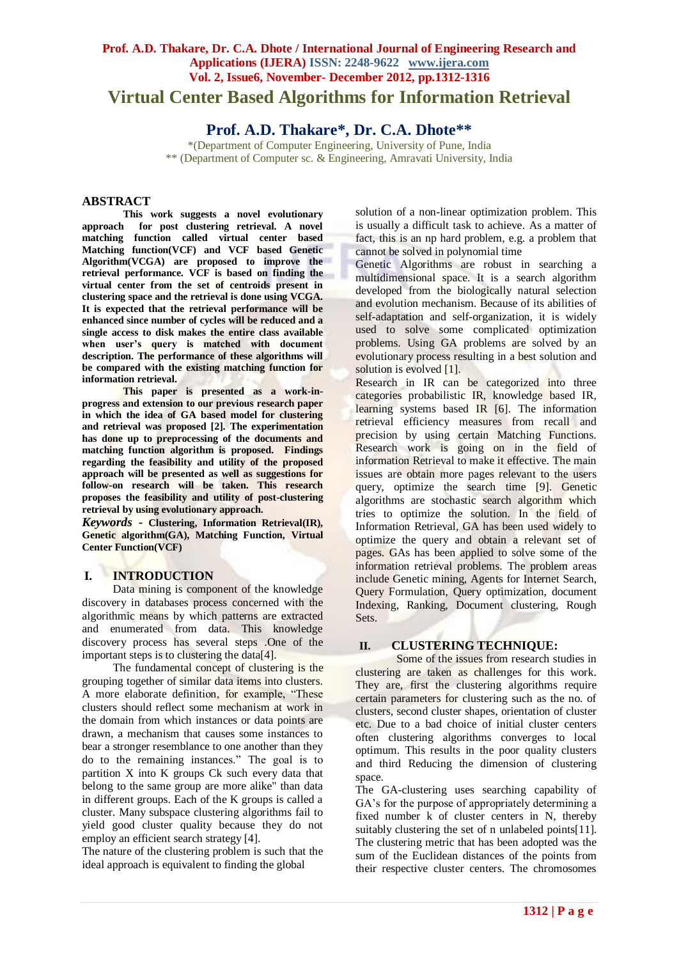# **Virtual Center Based Algorithms for Information Retrieval**

## **Prof. A.D. Thakare\*, Dr. C.A. Dhote\*\***

\*(Department of Computer Engineering, University of Pune, India \*\* (Department of Computer sc. & Engineering, Amravati University, India

#### **ABSTRACT**

**This work suggests a novel evolutionary approach for post clustering retrieval. A novel matching function called virtual center based Matching function(VCF) and VCF based Genetic Algorithm(VCGA) are proposed to improve the retrieval performance. VCF is based on finding the virtual center from the set of centroids present in clustering space and the retrieval is done using VCGA. It is expected that the retrieval performance will be enhanced since number of cycles will be reduced and a single access to disk makes the entire class available when user's query is matched with document description. The performance of these algorithms will be compared with the existing matching function for information retrieval.** 

**This paper is presented as a work-inprogress and extension to our previous research paper in which the idea of GA based model for clustering and retrieval was proposed [2]. The experimentation has done up to preprocessing of the documents and matching function algorithm is proposed. Findings regarding the feasibility and utility of the proposed approach will be presented as well as suggestions for follow-on research will be taken. This research proposes the feasibility and utility of post-clustering retrieval by using evolutionary approach.**

*Keywords* **- Clustering, Information Retrieval(IR), Genetic algorithm(GA), Matching Function, Virtual Center Function(VCF)**

## **I. INTRODUCTION**

Data mining is component of the knowledge discovery in databases process concerned with the algorithmic means by which patterns are extracted and enumerated from data. This knowledge discovery process has several steps .One of the important steps is to clustering the data[4].

The fundamental concept of clustering is the grouping together of similar data items into clusters. A more elaborate definition, for example, "These clusters should reflect some mechanism at work in the domain from which instances or data points are drawn, a mechanism that causes some instances to bear a stronger resemblance to one another than they do to the remaining instances." The goal is to partition X into K groups Ck such every data that belong to the same group are more alike" than data in different groups. Each of the K groups is called a cluster. Many subspace clustering algorithms fail to yield good cluster quality because they do not employ an efficient search strategy [4].

The nature of the clustering problem is such that the ideal approach is equivalent to finding the global

solution of a non-linear optimization problem. This is usually a difficult task to achieve. As a matter of fact, this is an np hard problem, e.g. a problem that cannot be solved in polynomial time

Genetic Algorithms are robust in searching a multidimensional space. It is a search algorithm developed from the biologically natural selection and evolution mechanism. Because of its abilities of self-adaptation and self-organization, it is widely used to solve some complicated optimization problems. Using GA problems are solved by an evolutionary process resulting in a best solution and solution is evolved [1].

Research in IR can be categorized into three categories probabilistic IR, knowledge based IR, learning systems based IR [6]. The information retrieval efficiency measures from recall and precision by using certain Matching Functions. Research work is going on in the field of information Retrieval to make it effective. The main issues are obtain more pages relevant to the users query, optimize the search time [9]. Genetic algorithms are stochastic search algorithm which tries to optimize the solution. In the field of Information Retrieval, GA has been used widely to optimize the query and obtain a relevant set of pages. GAs has been applied to solve some of the information retrieval problems. The problem areas include Genetic mining, Agents for Internet Search, Query Formulation, Query optimization, document Indexing, Ranking, Document clustering, Rough Sets.

#### **II. CLUSTERING TECHNIQUE:**

Some of the issues from research studies in clustering are taken as challenges for this work. They are, first the clustering algorithms require certain parameters for clustering such as the no. of clusters, second cluster shapes, orientation of cluster etc. Due to a bad choice of initial cluster centers often clustering algorithms converges to local optimum. This results in the poor quality clusters and third Reducing the dimension of clustering space.

The GA-clustering uses searching capability of GA's for the purpose of appropriately determining a fixed number k of cluster centers in N, thereby suitably clustering the set of n unlabeled points[11]. The clustering metric that has been adopted was the sum of the Euclidean distances of the points from their respective cluster centers. The chromosomes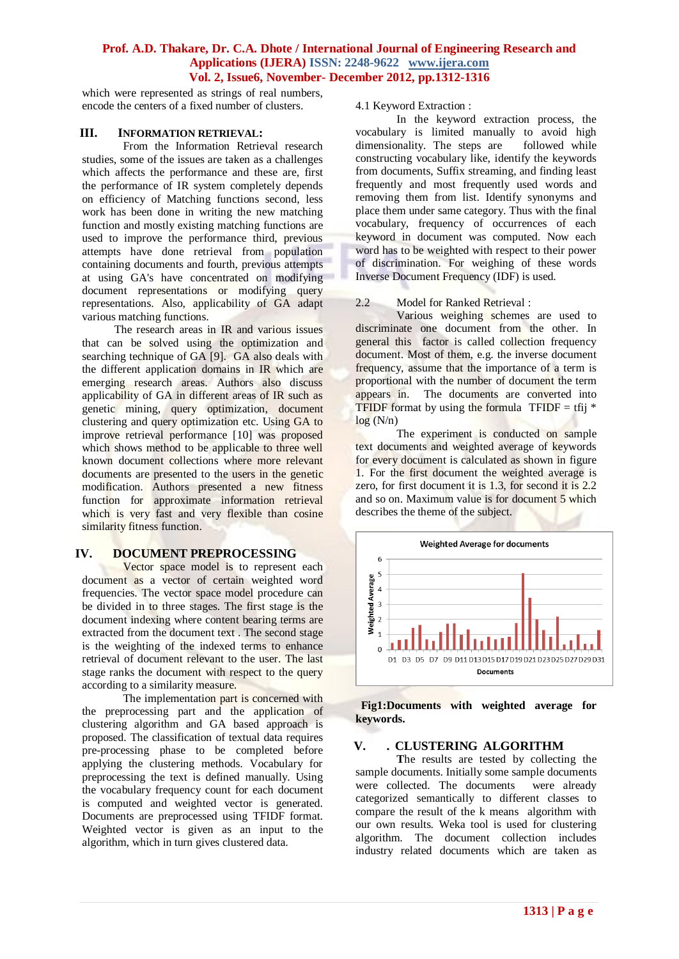which were represented as strings of real numbers, encode the centers of a fixed number of clusters.

#### **III. INFORMATION RETRIEVAL:**

From the Information Retrieval research studies, some of the issues are taken as a challenges which affects the performance and these are, first the performance of IR system completely depends on efficiency of Matching functions second, less work has been done in writing the new matching function and mostly existing matching functions are used to improve the performance third, previous attempts have done retrieval from population containing documents and fourth, previous attempts at using GA's have concentrated on modifying document representations or modifying query representations. Also, applicability of GA adapt various matching functions.

The research areas in IR and various issues that can be solved using the optimization and searching technique of GA [9]. GA also deals with the different application domains in IR which are emerging research areas. Authors also discuss applicability of GA in different areas of IR such as genetic mining, query optimization, document clustering and query optimization etc. Using GA to improve retrieval performance [10] was proposed which shows method to be applicable to three well known document collections where more relevant documents are presented to the users in the genetic modification. Authors presented a new fitness function for approximate information retrieval which is very fast and very flexible than cosine similarity fitness function.

## **IV. DOCUMENT PREPROCESSING**

Vector space model is to represent each document as a vector of certain weighted word frequencies. The vector space model procedure can be divided in to three stages. The first stage is the document indexing where content bearing terms are extracted from the document text . The second stage is the weighting of the indexed terms to enhance retrieval of document relevant to the user. The last stage ranks the document with respect to the query according to a similarity measure.

The implementation part is concerned with the preprocessing part and the application of clustering algorithm and GA based approach is proposed. The classification of textual data requires pre-processing phase to be completed before applying the clustering methods. Vocabulary for preprocessing the text is defined manually. Using the vocabulary frequency count for each document is computed and weighted vector is generated. Documents are preprocessed using TFIDF format. Weighted vector is given as an input to the algorithm, which in turn gives clustered data.

4.1 Keyword Extraction :

In the keyword extraction process, the vocabulary is limited manually to avoid high<br>dimensionality. The steps are followed while dimensionality. The steps are constructing vocabulary like, identify the keywords from documents, Suffix streaming, and finding least frequently and most frequently used words and removing them from list. Identify synonyms and place them under same category. Thus with the final vocabulary, frequency of occurrences of each keyword in document was computed. Now each word has to be weighted with respect to their power of discrimination. For weighing of these words Inverse Document Frequency (IDF) is used.

#### 2.2 Model for Ranked Retrieval :

Various weighing schemes are used to discriminate one document from the other. In general this factor is called collection frequency document. Most of them, e.g. the inverse document frequency, assume that the importance of a term is proportional with the number of document the term appears in. The documents are converted into TFIDF format by using the formula  $TFIDF = \text{tfi} *$  $log(N/n)$ 

The experiment is conducted on sample text documents and weighted average of keywords for every document is calculated as shown in figure 1. For the first document the weighted average is zero, for first document it is 1.3, for second it is 2.2 and so on. Maximum value is for document 5 which describes the theme of the subject.



 **Fig1:Documents with weighted average for keywords.** 

#### **V. . CLUSTERING ALGORITHM**

**T**he results are tested by collecting the sample documents. Initially some sample documents were collected. The documents were already categorized semantically to different classes to compare the result of the k means algorithm with our own results. Weka tool is used for clustering algorithm. The document collection includes industry related documents which are taken as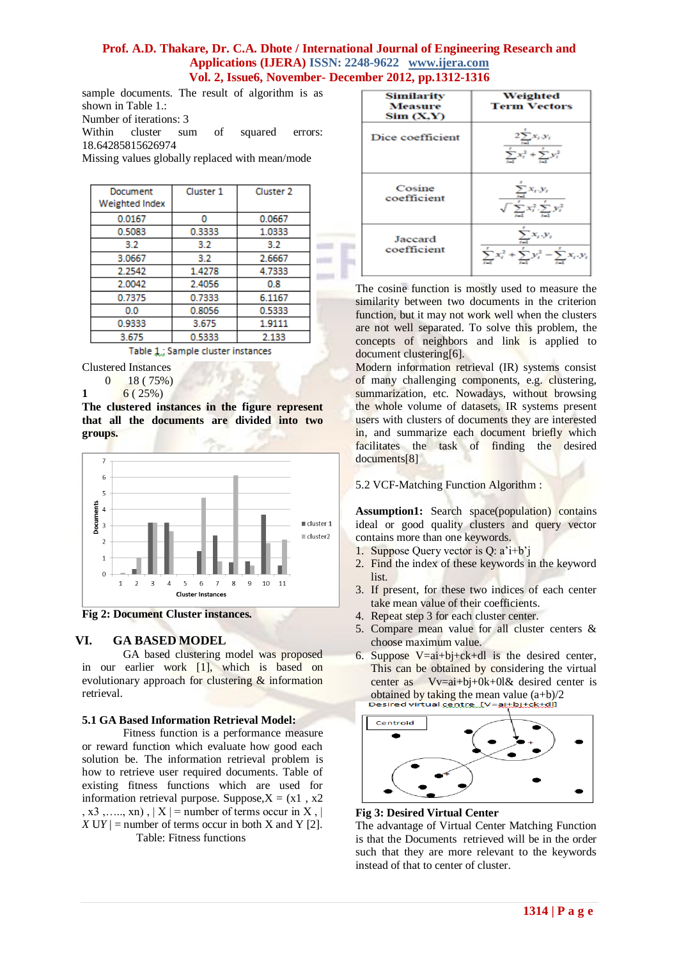sample documents. The result of algorithm is as shown in Table 1.: Number of iterations: 3 Within cluster sum of squared errors: 18.64285815626974 Missing values globally replaced with mean/mode

| Document<br>Weighted Index | Cluster 1 | Cluster <sub>2</sub> |  |
|----------------------------|-----------|----------------------|--|
| 0.0167                     | o         | 0.0667               |  |
| 0.5083                     | 0.3333    | 1.0333               |  |
| 3.2                        | 3.2       | 3.2                  |  |
| 3.0667                     | 3.2       | 2.6667               |  |
| 2.2542                     | 1.4278    | 4 7333               |  |
| 20042                      | 24056     | 0.8                  |  |
| 0.7375                     | 0.7333    | 6.1167               |  |
| 0.0                        | 0.8056    | 0.5333               |  |
| 0.9333                     | 3.675     | 1.9111               |  |
| 3.675                      | 0.5333    | 2.133                |  |

Table 1: Sample cluster instances

Clustered Instances

0 18 ( 75%)

1 6 (  $25\%$  )

**The clustered instances in the figure represent that all the documents are divided into two groups.** 



**Fig 2: Document Cluster instances.**

## **VI. GA BASED MODEL**

GA based clustering model was proposed in our earlier work [1], which is based on evolutionary approach for clustering & information retrieval.

#### **5.1 GA Based Information Retrieval Model:**

Fitness function is a performance measure or reward function which evaluate how good each solution be. The information retrieval problem is how to retrieve user required documents. Table of existing fitness functions which are used for information retrieval purpose. Suppose,  $X = (x1, x2)$ , x3 ,...., xn),  $|X|$  = number of terms occur in X, |  $|XY| =$  number of terms occur in both X and Y [2]. Table: Fitness functions

Similarity Weighted Measure **Term Vectors**  $Sim(X,Y)$ Dice coefficient Cosine coefficient Jaccard coefficient

The cosine function is mostly used to measure the similarity between two documents in the criterion function, but it may not work well when the clusters are not well separated. To solve this problem, the concepts of neighbors and link is applied to document clustering[6].

Modern information retrieval (IR) systems consist of many challenging components, e.g. clustering, summarization, etc. Nowadays, without browsing the whole volume of datasets, IR systems present users with clusters of documents they are interested in, and summarize each document briefly which facilitates the task of finding the desired documents[8]

#### 5.2 VCF-Matching Function Algorithm :

Assumption1: Search space(population) contains ideal or good quality clusters and query vector contains more than one keywords.

- 1. Suppose Query vector is Q: a'i+b'j
- 2. Find the index of these keywords in the keyword list.
- 3. If present, for these two indices of each center take mean value of their coefficients.
- 4. Repeat step 3 for each cluster center.
- 5. Compare mean value for all cluster centers & choose maximum value.
- 6. Suppose  $V=ai+bj+ck+dl$  is the desired center, This can be obtained by considering the virtual center as  $Vv=ai+bj+0k+0l\&$  desired center is obtained by taking the mean value  $(a+b)/2$ <br>Desired virtual centre  $I = a + bi + ck + dl$



#### **Fig 3: Desired Virtual Center**

The advantage of Virtual Center Matching Function is that the Documents retrieved will be in the order such that they are more relevant to the keywords instead of that to center of cluster.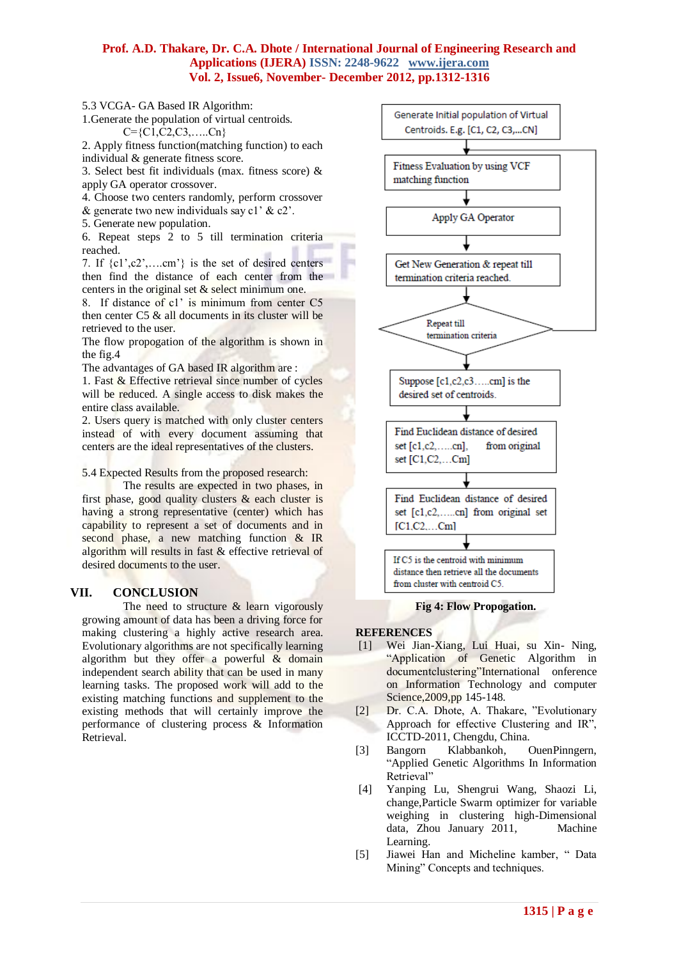5.3 VCGA- GA Based IR Algorithm:

1.Generate the population of virtual centroids.  $C=\{C1, C2, C3, \ldots, Cn\}$ 

2. Apply fitness function(matching function) to each individual & generate fitness score.

3. Select best fit individuals (max. fitness score) & apply GA operator crossover.

4. Choose two centers randomly, perform crossover

 $\&$  generate two new individuals say c1'  $\&$  c2'.

5. Generate new population.

6. Repeat steps 2 to 5 till termination criteria reached.

7. If  $\{c_1\text{'}, c_2\text{'}, \ldots \text{'}, \text{'} \}$  is the set of desired centers then find the distance of each center from the centers in the original set  $&$  select minimum one.

8. If distance of c1' is minimum from center C5 then center C5 & all documents in its cluster will be retrieved to the user.

The flow propogation of the algorithm is shown in the fig.4

The advantages of GA based IR algorithm are :

1. Fast & Effective retrieval since number of cycles will be reduced. A single access to disk makes the entire class available.

2. Users query is matched with only cluster centers instead of with every document assuming that centers are the ideal representatives of the clusters.

5.4 Expected Results from the proposed research:

The results are expected in two phases, in first phase, good quality clusters  $\&$  each cluster is having a strong representative (center) which has capability to represent a set of documents and in second phase, a new matching function & IR algorithm will results in fast & effective retrieval of desired documents to the user.

## **VII. CONCLUSION**

The need to structure  $\&$  learn vigorously growing amount of data has been a driving force for making clustering a highly active research area. Evolutionary algorithms are not specifically learning algorithm but they offer a powerful  $\&$  domain independent search ability that can be used in many learning tasks. The proposed work will add to the existing matching functions and supplement to the existing methods that will certainly improve the performance of clustering process & Information Retrieval.



**Fig 4: Flow Propogation.**

#### **REFERENCES**

- [1] Wei Jian-Xiang, Lui Huai, su Xin- Ning, "Application of Genetic Algorithm in documentclustering"International onference on Information Technology and computer Science,2009,pp 145-148.
- [2] Dr. C.A. Dhote, A. Thakare, "Evolutionary Approach for effective Clustering and IR", ICCTD-2011, Chengdu, China.
- [3] Bangorn Klabbankoh, OuenPinngern, "Applied Genetic Algorithms In Information Retrieval"
- [4] [Yanping Lu,](http://dl.acm.org/author_page.cfm?id=81466641160&coll=DL&dl=GUIDE&CFID=61919180&CFTOKEN=28770935) [Shengrui Wang,](http://dl.acm.org/author_page.cfm?id=81100216088&coll=DL&dl=GUIDE&CFID=61919180&CFTOKEN=28770935) [Shaozi Li,](http://dl.acm.org/author_page.cfm?id=81309503784&coll=DL&dl=GUIDE&CFID=61919180&CFTOKEN=28770935) change,Particle Swarm optimizer for variable weighing in clustering high-Dimensional data, Zhou January 2011, Machine Learning.
- [5] Jiawei Han and Micheline kamber, " Data Mining" Concepts and techniques.